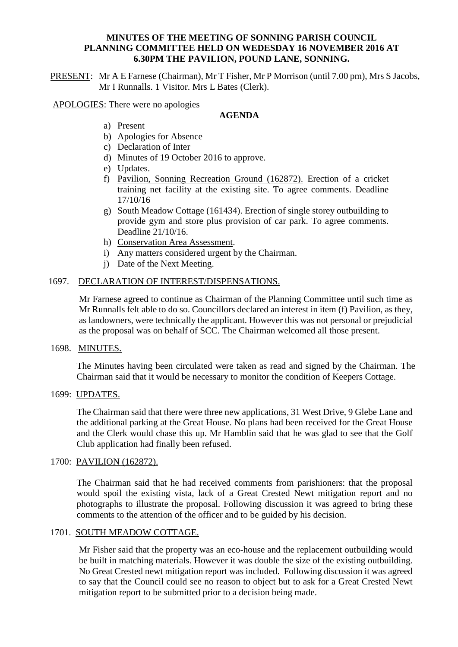### **MINUTES OF THE MEETING OF SONNING PARISH COUNCIL PLANNING COMMITTEE HELD ON WEDESDAY 16 NOVEMBER 2016 AT 6.30PM THE PAVILION, POUND LANE, SONNING.**

PRESENT: Mr A E Farnese (Chairman), Mr T Fisher, Mr P Morrison (until 7.00 pm), Mrs S Jacobs, Mr I Runnalls. 1 Visitor. Mrs L Bates (Clerk).

APOLOGIES: There were no apologies

# **AGENDA**

- a) Present
- b) Apologies for Absence
- c) Declaration of Inter
- d) Minutes of 19 October 2016 to approve.
- e) Updates.
- f) Pavilion, Sonning Recreation Ground (162872). Erection of a cricket training net facility at the existing site. To agree comments. Deadline 17/10/16
- g) South Meadow Cottage (161434). Erection of single storey outbuilding to provide gym and store plus provision of car park. To agree comments. Deadline 21/10/16.
- h) Conservation Area Assessment.
- i) Any matters considered urgent by the Chairman.
- j) Date of the Next Meeting.

### 1697. DECLARATION OF INTEREST/DISPENSATIONS.

Mr Farnese agreed to continue as Chairman of the Planning Committee until such time as Mr Runnalls felt able to do so. Councillors declared an interest in item (f) Pavilion, as they, as landowners, were technically the applicant. However this was not personal or prejudicial as the proposal was on behalf of SCC. The Chairman welcomed all those present.

### 1698. MINUTES.

The Minutes having been circulated were taken as read and signed by the Chairman. The Chairman said that it would be necessary to monitor the condition of Keepers Cottage.

### 1699: UPDATES.

The Chairman said that there were three new applications, 31 West Drive, 9 Glebe Lane and the additional parking at the Great House. No plans had been received for the Great House and the Clerk would chase this up. Mr Hamblin said that he was glad to see that the Golf Club application had finally been refused.

### 1700: PAVILION (162872).

The Chairman said that he had received comments from parishioners: that the proposal would spoil the existing vista, lack of a Great Crested Newt mitigation report and no photographs to illustrate the proposal. Following discussion it was agreed to bring these comments to the attention of the officer and to be guided by his decision.

### 1701. SOUTH MEADOW COTTAGE.

Mr Fisher said that the property was an eco-house and the replacement outbuilding would be built in matching materials. However it was double the size of the existing outbuilding. No Great Crested newt mitigation report was included. Following discussion it was agreed to say that the Council could see no reason to object but to ask for a Great Crested Newt mitigation report to be submitted prior to a decision being made.